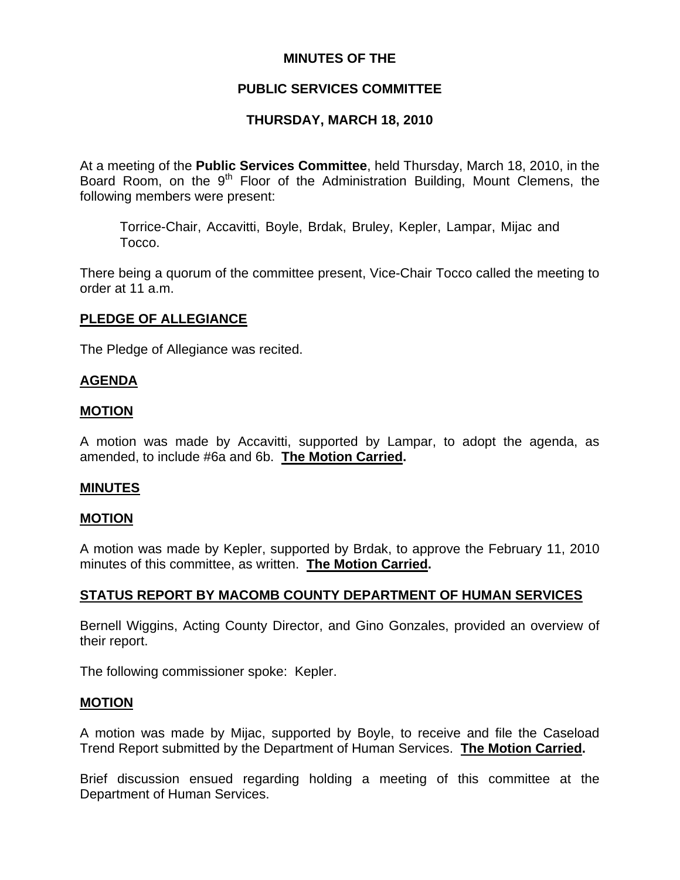# **MINUTES OF THE**

# **PUBLIC SERVICES COMMITTEE**

# **THURSDAY, MARCH 18, 2010**

At a meeting of the **Public Services Committee**, held Thursday, March 18, 2010, in the Board Room, on the 9<sup>th</sup> Floor of the Administration Building, Mount Clemens, the following members were present:

Torrice-Chair, Accavitti, Boyle, Brdak, Bruley, Kepler, Lampar, Mijac and Tocco.

There being a quorum of the committee present, Vice-Chair Tocco called the meeting to order at 11 a.m.

### **PLEDGE OF ALLEGIANCE**

The Pledge of Allegiance was recited.

### **AGENDA**

### **MOTION**

A motion was made by Accavitti, supported by Lampar, to adopt the agenda, as amended, to include #6a and 6b. **The Motion Carried.** 

### **MINUTES**

### **MOTION**

A motion was made by Kepler, supported by Brdak, to approve the February 11, 2010 minutes of this committee, as written. **The Motion Carried.** 

## **STATUS REPORT BY MACOMB COUNTY DEPARTMENT OF HUMAN SERVICES**

Bernell Wiggins, Acting County Director, and Gino Gonzales, provided an overview of their report.

The following commissioner spoke: Kepler.

### **MOTION**

A motion was made by Mijac, supported by Boyle, to receive and file the Caseload Trend Report submitted by the Department of Human Services. **The Motion Carried.** 

Brief discussion ensued regarding holding a meeting of this committee at the Department of Human Services.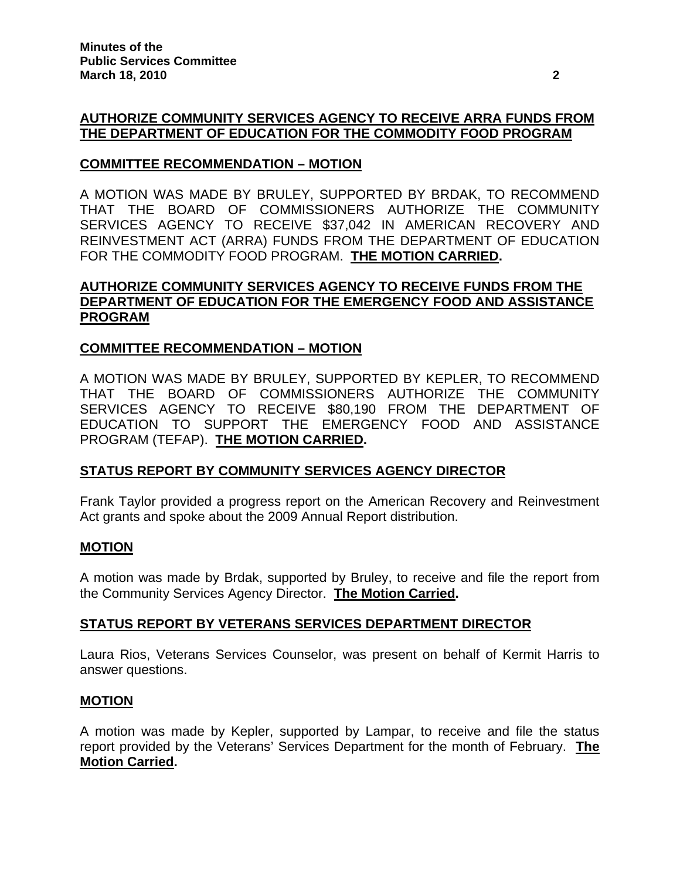# **AUTHORIZE COMMUNITY SERVICES AGENCY TO RECEIVE ARRA FUNDS FROM THE DEPARTMENT OF EDUCATION FOR THE COMMODITY FOOD PROGRAM**

# **COMMITTEE RECOMMENDATION – MOTION**

A MOTION WAS MADE BY BRULEY, SUPPORTED BY BRDAK, TO RECOMMEND THAT THE BOARD OF COMMISSIONERS AUTHORIZE THE COMMUNITY SERVICES AGENCY TO RECEIVE \$37,042 IN AMERICAN RECOVERY AND REINVESTMENT ACT (ARRA) FUNDS FROM THE DEPARTMENT OF EDUCATION FOR THE COMMODITY FOOD PROGRAM. **THE MOTION CARRIED.** 

## **AUTHORIZE COMMUNITY SERVICES AGENCY TO RECEIVE FUNDS FROM THE DEPARTMENT OF EDUCATION FOR THE EMERGENCY FOOD AND ASSISTANCE PROGRAM**

## **COMMITTEE RECOMMENDATION – MOTION**

A MOTION WAS MADE BY BRULEY, SUPPORTED BY KEPLER, TO RECOMMEND THAT THE BOARD OF COMMISSIONERS AUTHORIZE THE COMMUNITY SERVICES AGENCY TO RECEIVE \$80,190 FROM THE DEPARTMENT OF EDUCATION TO SUPPORT THE EMERGENCY FOOD AND ASSISTANCE PROGRAM (TEFAP). **THE MOTION CARRIED.** 

## **STATUS REPORT BY COMMUNITY SERVICES AGENCY DIRECTOR**

Frank Taylor provided a progress report on the American Recovery and Reinvestment Act grants and spoke about the 2009 Annual Report distribution.

### **MOTION**

A motion was made by Brdak, supported by Bruley, to receive and file the report from the Community Services Agency Director. **The Motion Carried.** 

## **STATUS REPORT BY VETERANS SERVICES DEPARTMENT DIRECTOR**

Laura Rios, Veterans Services Counselor, was present on behalf of Kermit Harris to answer questions.

### **MOTION**

A motion was made by Kepler, supported by Lampar, to receive and file the status report provided by the Veterans' Services Department for the month of February. **The Motion Carried.**